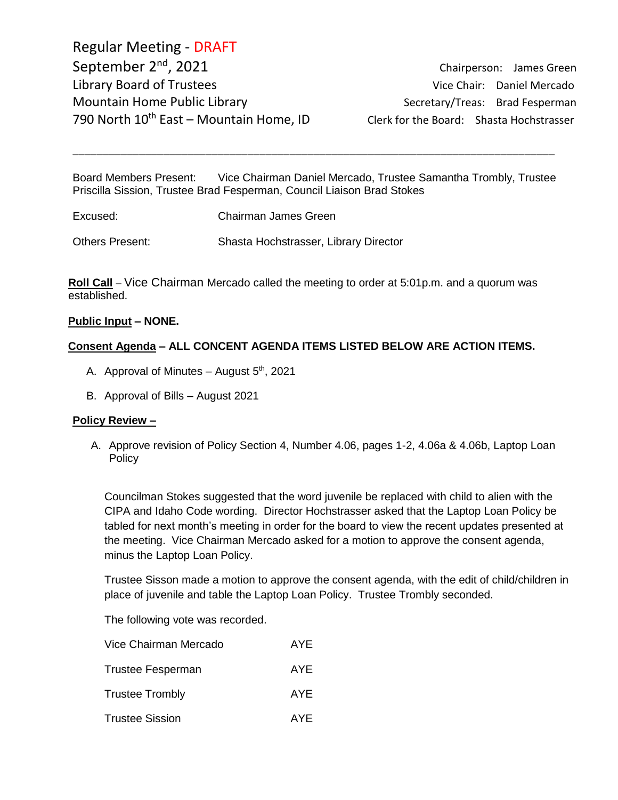Regular Meeting - DRAFT September 2<sup>nd</sup>, 2021 Library Board of Trustees and Communications of Vice Chair: Daniel Mercado Mountain Home Public Library Secretary/Treas: Brad Fesperman 790 North  $10^{th}$  East – Mountain Home, ID Clerk for the Board: Shasta Hochstrasser

Chairperson: James Green

Board Members Present: Vice Chairman Daniel Mercado, Trustee Samantha Trombly, Trustee Priscilla Sission, Trustee Brad Fesperman, Council Liaison Brad Stokes

\_\_\_\_\_\_\_\_\_\_\_\_\_\_\_\_\_\_\_\_\_\_\_\_\_\_\_\_\_\_\_\_\_\_\_\_\_\_\_\_\_\_\_\_\_\_\_\_\_\_\_\_\_\_\_\_\_\_\_\_\_\_\_\_\_\_\_\_\_\_\_\_\_\_\_\_\_\_\_\_

| Excused:               | Chairman James Green                  |
|------------------------|---------------------------------------|
| <b>Others Present:</b> | Shasta Hochstrasser, Library Director |

**Roll Call** – Vice Chairman Mercado called the meeting to order at 5:01p.m. and a quorum was established.

### **Public Input – NONE.**

### **Consent Agenda – ALL CONCENT AGENDA ITEMS LISTED BELOW ARE ACTION ITEMS.**

- A. Approval of Minutes August  $5<sup>th</sup>$ , 2021
- B. Approval of Bills August 2021

#### **Policy Review –**

A. Approve revision of Policy Section 4, Number 4.06, pages 1-2, 4.06a & 4.06b, Laptop Loan Policy

Councilman Stokes suggested that the word juvenile be replaced with child to alien with the CIPA and Idaho Code wording. Director Hochstrasser asked that the Laptop Loan Policy be tabled for next month's meeting in order for the board to view the recent updates presented at the meeting. Vice Chairman Mercado asked for a motion to approve the consent agenda, minus the Laptop Loan Policy.

Trustee Sisson made a motion to approve the consent agenda, with the edit of child/children in place of juvenile and table the Laptop Loan Policy. Trustee Trombly seconded.

The following vote was recorded.

| Vice Chairman Mercado    | AYF |
|--------------------------|-----|
| <b>Trustee Fesperman</b> | AYE |
| <b>Trustee Trombly</b>   | AYE |
| <b>Trustee Sission</b>   | AYF |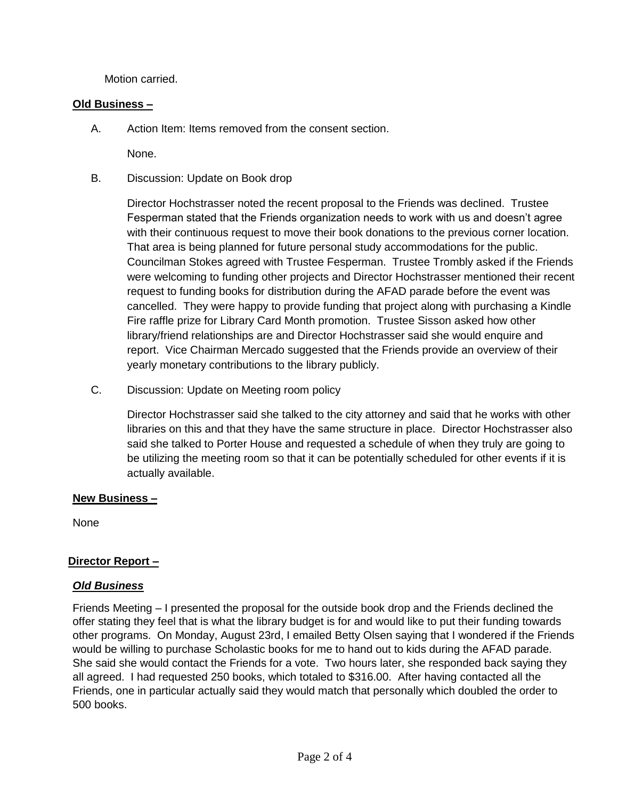Motion carried.

# **Old Business –**

A. Action Item: Items removed from the consent section.

None.

B. Discussion: Update on Book drop

Director Hochstrasser noted the recent proposal to the Friends was declined. Trustee Fesperman stated that the Friends organization needs to work with us and doesn't agree with their continuous request to move their book donations to the previous corner location. That area is being planned for future personal study accommodations for the public. Councilman Stokes agreed with Trustee Fesperman. Trustee Trombly asked if the Friends were welcoming to funding other projects and Director Hochstrasser mentioned their recent request to funding books for distribution during the AFAD parade before the event was cancelled. They were happy to provide funding that project along with purchasing a Kindle Fire raffle prize for Library Card Month promotion. Trustee Sisson asked how other library/friend relationships are and Director Hochstrasser said she would enquire and report. Vice Chairman Mercado suggested that the Friends provide an overview of their yearly monetary contributions to the library publicly.

C. Discussion: Update on Meeting room policy

Director Hochstrasser said she talked to the city attorney and said that he works with other libraries on this and that they have the same structure in place. Director Hochstrasser also said she talked to Porter House and requested a schedule of when they truly are going to be utilizing the meeting room so that it can be potentially scheduled for other events if it is actually available.

### **New Business –**

None

# **Director Report –**

# *Old Business*

Friends Meeting – I presented the proposal for the outside book drop and the Friends declined the offer stating they feel that is what the library budget is for and would like to put their funding towards other programs. On Monday, August 23rd, I emailed Betty Olsen saying that I wondered if the Friends would be willing to purchase Scholastic books for me to hand out to kids during the AFAD parade. She said she would contact the Friends for a vote. Two hours later, she responded back saying they all agreed. I had requested 250 books, which totaled to \$316.00. After having contacted all the Friends, one in particular actually said they would match that personally which doubled the order to 500 books.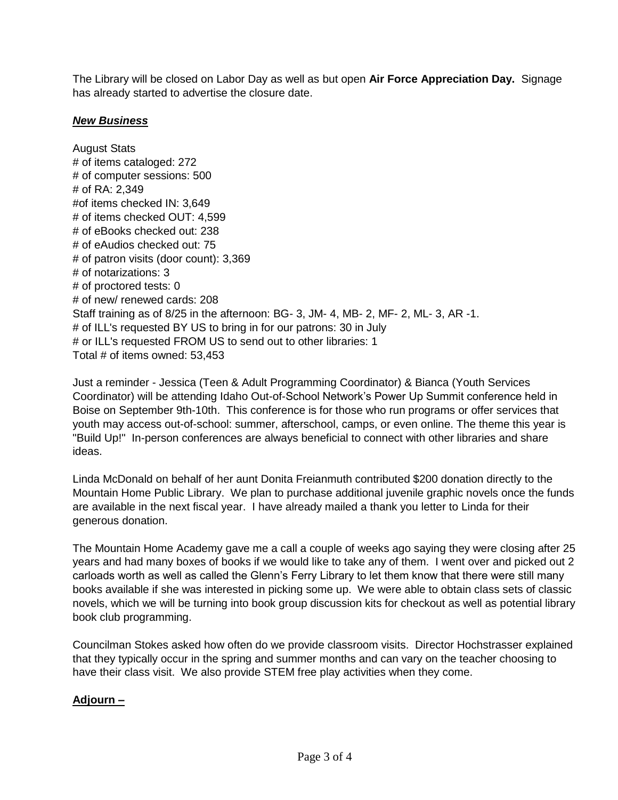The Library will be closed on Labor Day as well as but open **Air Force Appreciation Day.** Signage has already started to advertise the closure date.

### *New Business*

August Stats # of items cataloged: 272 # of computer sessions: 500 # of RA: 2,349 #of items checked IN: 3,649 # of items checked OUT: 4,599 # of eBooks checked out: 238 # of eAudios checked out: 75 # of patron visits (door count): 3,369 # of notarizations: 3 # of proctored tests: 0 # of new/ renewed cards: 208 Staff training as of 8/25 in the afternoon: BG- 3, JM- 4, MB- 2, MF- 2, ML- 3, AR -1. # of ILL's requested BY US to bring in for our patrons: 30 in July # or ILL's requested FROM US to send out to other libraries: 1 Total # of items owned: 53,453

Just a reminder - Jessica (Teen & Adult Programming Coordinator) & Bianca (Youth Services Coordinator) will be attending Idaho Out-of-School Network's Power Up Summit conference held in Boise on September 9th-10th. This conference is for those who run programs or offer services that youth may access out-of-school: summer, afterschool, camps, or even online. The theme this year is "Build Up!" In-person conferences are always beneficial to connect with other libraries and share ideas.

Linda McDonald on behalf of her aunt Donita Freianmuth contributed \$200 donation directly to the Mountain Home Public Library. We plan to purchase additional juvenile graphic novels once the funds are available in the next fiscal year. I have already mailed a thank you letter to Linda for their generous donation.

The Mountain Home Academy gave me a call a couple of weeks ago saying they were closing after 25 years and had many boxes of books if we would like to take any of them. I went over and picked out 2 carloads worth as well as called the Glenn's Ferry Library to let them know that there were still many books available if she was interested in picking some up. We were able to obtain class sets of classic novels, which we will be turning into book group discussion kits for checkout as well as potential library book club programming.

Councilman Stokes asked how often do we provide classroom visits. Director Hochstrasser explained that they typically occur in the spring and summer months and can vary on the teacher choosing to have their class visit. We also provide STEM free play activities when they come.

# **Adjourn –**